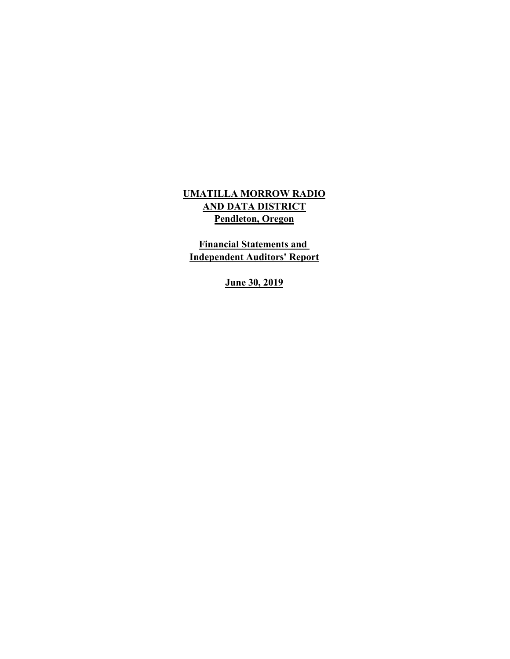## **UMATILLA MORROW RADIO Pendleton, Oregon AND DATA DISTRICT**

**Financial Statements and Independent Auditors' Report**

**June 30, 2019**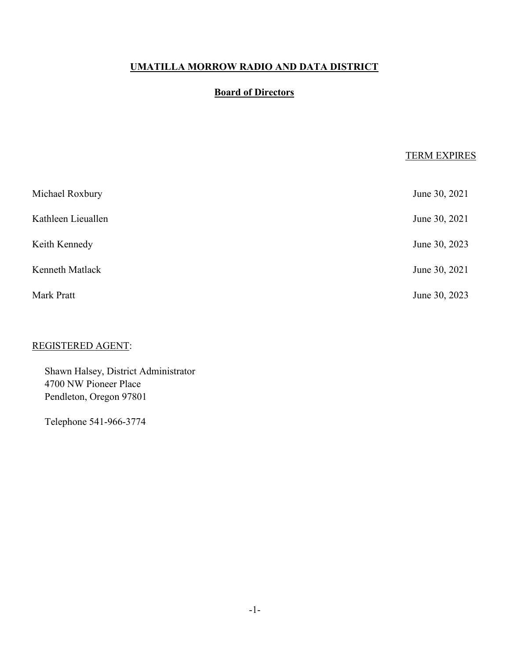## **Board of Directors**

## TERM EXPIRES

| Michael Roxbury    | June 30, 2021 |
|--------------------|---------------|
| Kathleen Lieuallen | June 30, 2021 |
| Keith Kennedy      | June 30, 2023 |
| Kenneth Matlack    | June 30, 2021 |
| Mark Pratt         | June 30, 2023 |

## REGISTERED AGENT:

Shawn Halsey, District Administrator 4700 NW Pioneer Place Pendleton, Oregon 97801

Telephone 541-966-3774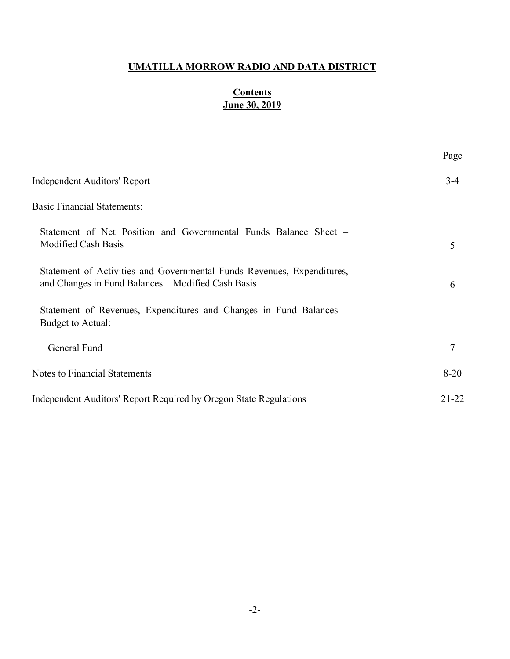## **June 30, 2019 Contents**

|                                                                                                                              | Page      |
|------------------------------------------------------------------------------------------------------------------------------|-----------|
| Independent Auditors' Report                                                                                                 | $3-4$     |
| <b>Basic Financial Statements:</b>                                                                                           |           |
| Statement of Net Position and Governmental Funds Balance Sheet –<br>Modified Cash Basis                                      | 5         |
| Statement of Activities and Governmental Funds Revenues, Expenditures,<br>and Changes in Fund Balances – Modified Cash Basis | 6         |
| Statement of Revenues, Expenditures and Changes in Fund Balances –<br>Budget to Actual:                                      |           |
| General Fund                                                                                                                 | 7         |
| <b>Notes to Financial Statements</b>                                                                                         | $8 - 20$  |
| Independent Auditors' Report Required by Oregon State Regulations                                                            | $21 - 22$ |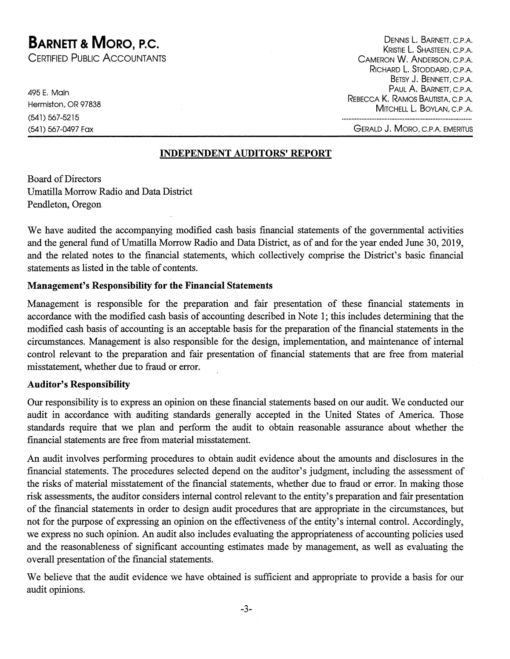## **BARNETT & MORO, P.C.**

CERTIFIED PUBLIC ACCOUNTANTS

495 E. Main Hermiston, OR 97838 (541) 567-5215 (541) 567-0497 Fax

DENNIS L. BARNETT, C.P.A. KRISTIE L. SHASTEEN, C.P.A. CAMERON W. ANDERSON, C.P.A. RICHARD L. STODDARD, C.P.A. BETSY J. BENNETT, C.P.A. PAUL A. BARNETT, C.P.A. REBECCA K. RAMOS BAUTISTA, C.P.A. MITCHELL L. BOYLAN, C.P.A.

**GERALD J. MORO, C.P.A. EMERITUS** 

#### **INDEPENDENT AUDITORS' REPORT**

**Board of Directors** Umatilla Morrow Radio and Data District Pendleton, Oregon

We have audited the accompanying modified cash basis financial statements of the governmental activities and the general fund of Umatilla Morrow Radio and Data District, as of and for the year ended June 30, 2019, and the related notes to the financial statements, which collectively comprise the District's basic financial statements as listed in the table of contents.

#### **Management's Responsibility for the Financial Statements**

Management is responsible for the preparation and fair presentation of these financial statements in accordance with the modified cash basis of accounting described in Note 1; this includes determining that the modified cash basis of accounting is an acceptable basis for the preparation of the financial statements in the circumstances. Management is also responsible for the design, implementation, and maintenance of internal control relevant to the preparation and fair presentation of financial statements that are free from material misstatement, whether due to fraud or error.

#### **Auditor's Responsibility**

Our responsibility is to express an opinion on these financial statements based on our audit. We conducted our audit in accordance with auditing standards generally accepted in the United States of America. Those standards require that we plan and perform the audit to obtain reasonable assurance about whether the financial statements are free from material misstatement.

An audit involves performing procedures to obtain audit evidence about the amounts and disclosures in the financial statements. The procedures selected depend on the auditor's judgment, including the assessment of the risks of material misstatement of the financial statements, whether due to fraud or error. In making those risk assessments, the auditor considers internal control relevant to the entity's preparation and fair presentation of the financial statements in order to design audit procedures that are appropriate in the circumstances, but not for the purpose of expressing an opinion on the effectiveness of the entity's internal control. Accordingly, we express no such opinion. An audit also includes evaluating the appropriateness of accounting policies used and the reasonableness of significant accounting estimates made by management, as well as evaluating the overall presentation of the financial statements.

We believe that the audit evidence we have obtained is sufficient and appropriate to provide a basis for our audit opinions.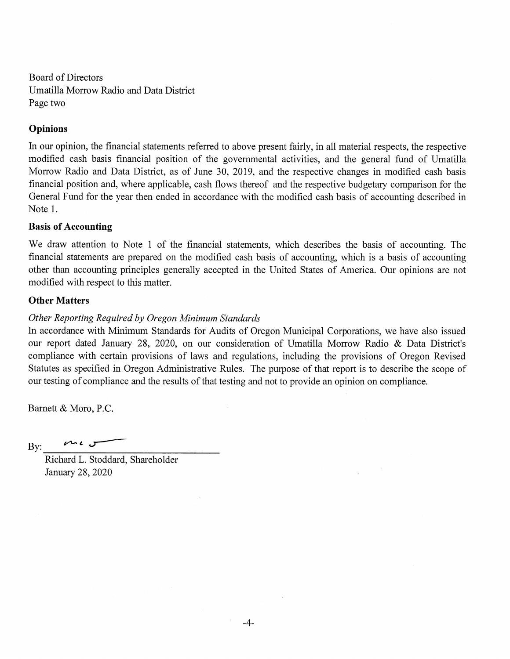**Board of Directors** Umatilla Morrow Radio and Data District Page two

#### **Opinions**

In our opinion, the financial statements referred to above present fairly, in all material respects, the respective modified cash basis financial position of the governmental activities, and the general fund of Umatilla Morrow Radio and Data District, as of June 30, 2019, and the respective changes in modified cash basis financial position and, where applicable, cash flows thereof and the respective budgetary comparison for the General Fund for the year then ended in accordance with the modified cash basis of accounting described in Note 1.

#### **Basis of Accounting**

We draw attention to Note 1 of the financial statements, which describes the basis of accounting. The financial statements are prepared on the modified cash basis of accounting, which is a basis of accounting other than accounting principles generally accepted in the United States of America. Our opinions are not modified with respect to this matter.

#### **Other Matters**

#### Other Reporting Required by Oregon Minimum Standards

In accordance with Minimum Standards for Audits of Oregon Municipal Corporations, we have also issued our report dated January 28, 2020, on our consideration of Umatilla Morrow Radio & Data District's compliance with certain provisions of laws and regulations, including the provisions of Oregon Revised Statutes as specified in Oregon Administrative Rules. The purpose of that report is to describe the scope of our testing of compliance and the results of that testing and not to provide an opinion on compliance.

Barnett & Moro, P.C.

س ، مهم  $By:$ 

Richard L. Stoddard, Shareholder January 28, 2020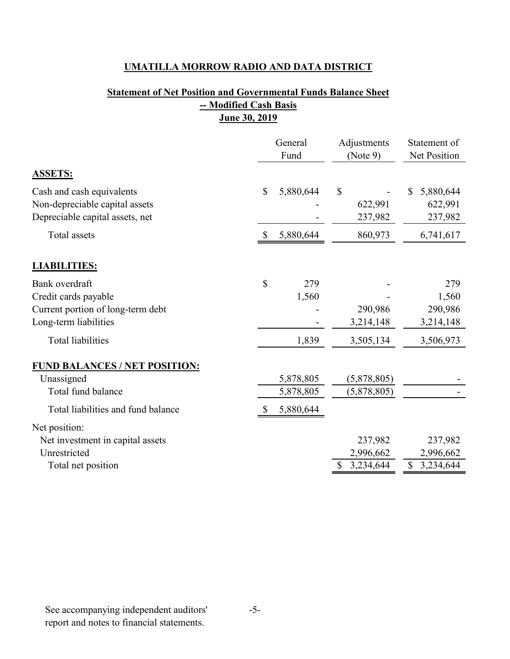## **Statement of Net Position and Governmental Funds Balance Sheet -- Modified Cash Basis June 30, 2019**

|                                                                                                      | General<br>Fund           | Adjustments<br>(Note 9)                 | Statement of<br>Net Position            |  |
|------------------------------------------------------------------------------------------------------|---------------------------|-----------------------------------------|-----------------------------------------|--|
| <b>ASSETS:</b>                                                                                       |                           |                                         |                                         |  |
| Cash and cash equivalents<br>Non-depreciable capital assets<br>Depreciable capital assets, net       | \$<br>5,880,644           | $\mathbb{S}$<br>622,991<br>237,982      | 5,880,644<br>S<br>622,991<br>237,982    |  |
| Total assets                                                                                         | 5,880,644<br>$\mathbb{S}$ | 860,973                                 | 6,741,617                               |  |
| <b>LIABILITIES:</b>                                                                                  |                           |                                         |                                         |  |
| Bank overdraft<br>Credit cards payable<br>Current portion of long-term debt<br>Long-term liabilities | \$<br>279<br>1,560        | 290,986<br>3,214,148                    | 279<br>1,560<br>290,986<br>3,214,148    |  |
| <b>Total liabilities</b>                                                                             | 1,839                     | 3,505,134                               | 3,506,973                               |  |
| <b>FUND BALANCES / NET POSITION:</b><br>Unassigned<br>Total fund balance                             | 5,878,805<br>5,878,805    | (5,878,805)<br>(5,878,805)              |                                         |  |
| Total liabilities and fund balance                                                                   | 5,880,644                 |                                         |                                         |  |
| Net position:<br>Net investment in capital assets<br>Unrestricted<br>Total net position              |                           | 237,982<br>2,996,662<br>3,234,644<br>\$ | 237,982<br>2,996,662<br>\$<br>3,234,644 |  |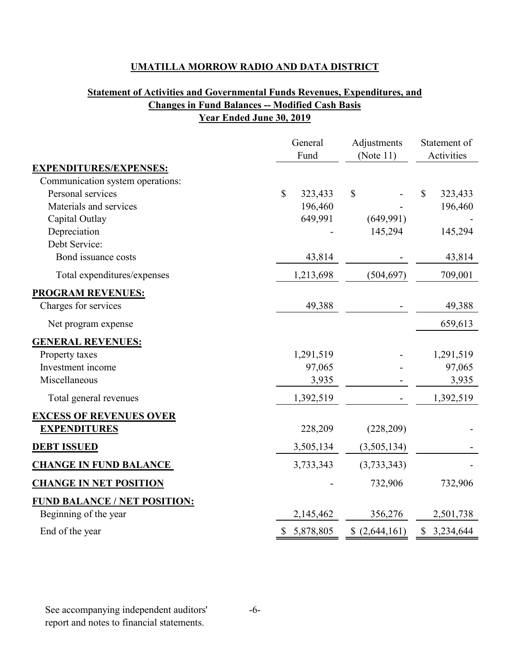## **Statement of Activities and Governmental Funds Revenues, Expenditures, and Changes in Fund Balances -- Modified Cash Basis Year Ended June 30, 2019**

|                                  | General<br>Fund |         |              | Adjustments<br>(Note $11$ ) |              | Statement of<br>Activities |  |
|----------------------------------|-----------------|---------|--------------|-----------------------------|--------------|----------------------------|--|
| <b>EXPENDITURES/EXPENSES:</b>    |                 |         |              |                             |              |                            |  |
| Communication system operations: |                 |         |              |                             |              |                            |  |
| Personal services                | $\mathbb{S}$    | 323,433 | $\mathbb{S}$ |                             | $\mathbb{S}$ | 323,433                    |  |
| Materials and services           |                 | 196,460 |              |                             |              | 196,460                    |  |
| Capital Outlay                   |                 | 649,991 |              | (649,991)                   |              |                            |  |
| Depreciation                     |                 |         |              | 145,294                     |              | 145,294                    |  |
| Debt Service:                    |                 |         |              |                             |              |                            |  |
| Bond issuance costs              |                 | 43,814  |              |                             |              | 43,814                     |  |
| Total expenditures/expenses      | 1,213,698       |         |              | (504, 697)                  |              | 709,001                    |  |
| <b>PROGRAM REVENUES:</b>         |                 |         |              |                             |              |                            |  |
| Charges for services             |                 | 49,388  |              |                             |              | 49,388                     |  |
| Net program expense              |                 |         |              |                             |              | 659,613                    |  |
| <b>GENERAL REVENUES:</b>         |                 |         |              |                             |              |                            |  |
| Property taxes                   | 1,291,519       |         |              |                             |              | 1,291,519                  |  |
| Investment income                |                 | 97,065  |              |                             |              | 97,065                     |  |
| Miscellaneous                    |                 | 3,935   |              |                             |              | 3,935                      |  |
| Total general revenues           | 1,392,519       |         |              |                             |              | 1,392,519                  |  |
| <b>EXCESS OF REVENUES OVER</b>   |                 |         |              |                             |              |                            |  |
| <b>EXPENDITURES</b>              |                 | 228,209 |              | (228,209)                   |              |                            |  |
| <b>DEBT ISSUED</b>               | 3,505,134       |         |              | (3,505,134)                 |              |                            |  |
| <b>CHANGE IN FUND BALANCE</b>    | 3,733,343       |         |              | (3,733,343)                 |              |                            |  |
| <b>CHANGE IN NET POSITION</b>    |                 |         |              | 732,906                     |              | 732,906                    |  |
| FUND BALANCE / NET POSITION:     |                 |         |              |                             |              |                            |  |
| Beginning of the year            | 2,145,462       |         |              | 356,276                     |              | 2,501,738                  |  |
| End of the year                  | \$ 5,878,805    |         |              | (2,644,161)                 |              | \$3,234,644                |  |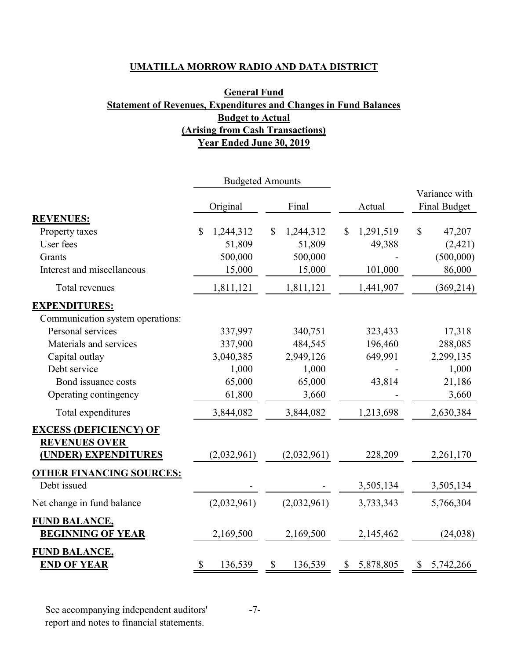## **General Fund Statement of Revenues, Expenditures and Changes in Fund Balances Budget to Actual (Arising from Cash Transactions) Year Ended June 30, 2019**

|                                  |                 | <b>Budgeted Amounts</b>   |                 |                     |
|----------------------------------|-----------------|---------------------------|-----------------|---------------------|
|                                  |                 |                           |                 | Variance with       |
|                                  | Original        | Final                     | Actual          | <b>Final Budget</b> |
| <b>REVENUES:</b>                 |                 |                           |                 |                     |
| Property taxes                   | \$<br>1,244,312 | $\mathbb{S}$<br>1,244,312 | 1,291,519<br>\$ | \$<br>47,207        |
| User fees                        | 51,809          | 51,809                    | 49,388          | (2,421)             |
| Grants                           | 500,000         | 500,000                   |                 | (500,000)           |
| Interest and miscellaneous       | 15,000          | 15,000                    | 101,000         | 86,000              |
| Total revenues                   | 1,811,121       | 1,811,121                 | 1,441,907       | (369, 214)          |
| <b>EXPENDITURES:</b>             |                 |                           |                 |                     |
| Communication system operations: |                 |                           |                 |                     |
| Personal services                | 337,997         | 340,751                   | 323,433         | 17,318              |
| Materials and services           | 337,900         | 484,545                   | 196,460         | 288,085             |
| Capital outlay                   | 3,040,385       | 2,949,126                 | 649,991         | 2,299,135           |
| Debt service                     | 1,000           | 1,000                     |                 | 1,000               |
| Bond issuance costs              | 65,000          | 65,000                    | 43,814          | 21,186              |
| Operating contingency            | 61,800          | 3,660                     |                 | 3,660               |
| Total expenditures               | 3,844,082       | 3,844,082                 | 1,213,698       | 2,630,384           |
| <b>EXCESS (DEFICIENCY) OF</b>    |                 |                           |                 |                     |
| <b>REVENUES OVER</b>             |                 |                           |                 |                     |
| (UNDER) EXPENDITURES             | (2,032,961)     | (2,032,961)               | 228,209         | 2,261,170           |
| <b>OTHER FINANCING SOURCES:</b>  |                 |                           |                 |                     |
| Debt issued                      |                 |                           | 3,505,134       | 3,505,134           |
| Net change in fund balance       | (2,032,961)     | (2,032,961)               | 3,733,343       | 5,766,304           |
| <b>FUND BALANCE,</b>             |                 |                           |                 |                     |
| <b>BEGINNING OF YEAR</b>         | 2,169,500       | 2,169,500                 | 2,145,462       | (24, 038)           |
| <b>FUND BALANCE,</b>             |                 |                           |                 |                     |
| <b>END OF YEAR</b>               | \$<br>136,539   | \$<br>136,539             | \$5,878,805     | \$5,742,266         |

See accompanying independent auditors' report and notes to financial statements.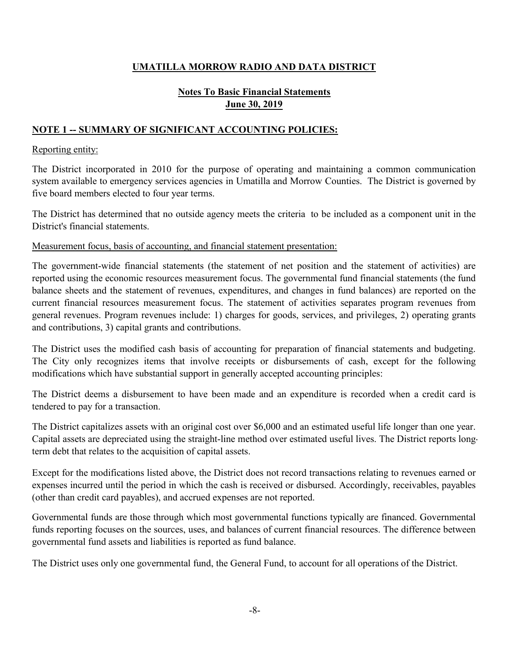## **Notes To Basic Financial Statements June 30, 2019**

#### **NOTE 1 -- SUMMARY OF SIGNIFICANT ACCOUNTING POLICIES:** Î

#### Reporting entity:

The District incorporated in 2010 for the purpose of operating and maintaining a common communication system available to emergency services agencies in Umatilla and Morrow Counties. The District is governed by five board members elected to four year terms.

The District has determined that no outside agency meets the criteria to be included as a component unit in the District's financial statements.

Measurement focus, basis of accounting, and financial statement presentation:

The government-wide financial statements (the statement of net position and the statement of activities) are reported using the economic resources measurement focus. The governmental fund financial statements (the fund balance sheets and the statement of revenues, expenditures, and changes in fund balances) are reported on the current financial resources measurement focus. The statement of activities separates program revenues from general revenues. Program revenues include: 1) charges for goods, services, and privileges, 2) operating grants and contributions, 3) capital grants and contributions.

The District uses the modified cash basis of accounting for preparation of financial statements and budgeting. The City only recognizes items that involve receipts or disbursements of cash, except for the following modifications which have substantial support in generally accepted accounting principles:

The District deems a disbursement to have been made and an expenditure is recorded when a credit card is tendered to pay for a transaction.

The District capitalizes assets with an original cost over \$6,000 and an estimated useful life longer than one year. Capital assets are depreciated using the straight-line method over estimated useful lives. The District reports longterm debt that relates to the acquisition of capital assets.

Except for the modifications listed above, the District does not record transactions relating to revenues earned or expenses incurred until the period in which the cash is received or disbursed. Accordingly, receivables, payables (other than credit card payables), and accrued expenses are not reported.

Governmental funds are those through which most governmental functions typically are financed. Governmental funds reporting focuses on the sources, uses, and balances of current financial resources. The difference between governmental fund assets and liabilities is reported as fund balance.

The District uses only one governmental fund, the General Fund, to account for all operations of the District.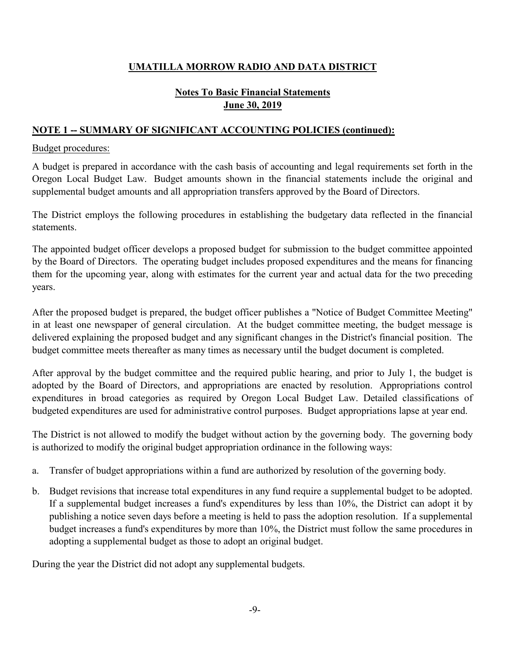## **Notes To Basic Financial Statements June 30, 2019**

## **NOTE 1 -- SUMMARY OF SIGNIFICANT ACCOUNTING POLICIES (continued):**

#### Budget procedures:

A budget is prepared in accordance with the cash basis of accounting and legal requirements set forth in the Oregon Local Budget Law. Budget amounts shown in the financial statements include the original and supplemental budget amounts and all appropriation transfers approved by the Board of Directors.

The District employs the following procedures in establishing the budgetary data reflected in the financial statements.

The appointed budget officer develops a proposed budget for submission to the budget committee appointed by the Board of Directors. The operating budget includes proposed expenditures and the means for financing them for the upcoming year, along with estimates for the current year and actual data for the two preceding years.

After the proposed budget is prepared, the budget officer publishes a "Notice of Budget Committee Meeting" in at least one newspaper of general circulation. At the budget committee meeting, the budget message is delivered explaining the proposed budget and any significant changes in the District's financial position. The budget committee meets thereafter as many times as necessary until the budget document is completed.

After approval by the budget committee and the required public hearing, and prior to July 1, the budget is adopted by the Board of Directors, and appropriations are enacted by resolution. Appropriations control expenditures in broad categories as required by Oregon Local Budget Law. Detailed classifications of budgeted expenditures are used for administrative control purposes. Budget appropriations lapse at year end.

The District is not allowed to modify the budget without action by the governing body. The governing body is authorized to modify the original budget appropriation ordinance in the following ways:

- a. Transfer of budget appropriations within a fund are authorized by resolution of the governing body.
- b. Budget revisions that increase total expenditures in any fund require a supplemental budget to be adopted. If a supplemental budget increases a fund's expenditures by less than 10%, the District can adopt it by publishing a notice seven days before a meeting is held to pass the adoption resolution. If a supplemental budget increases a fund's expenditures by more than 10%, the District must follow the same procedures in adopting a supplemental budget as those to adopt an original budget.

During the year the District did not adopt any supplemental budgets.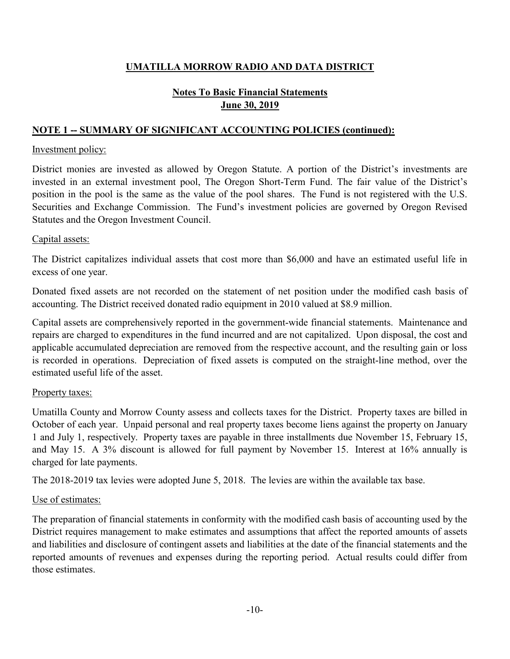## **Notes To Basic Financial Statements June 30, 2019**

## **NOTE 1 -- SUMMARY OF SIGNIFICANT ACCOUNTING POLICIES (continued):**

#### Investment policy:

District monies are invested as allowed by Oregon Statute. A portion of the District's investments are invested in an external investment pool, The Oregon Short-Term Fund. The fair value of the District's position in the pool is the same as the value of the pool shares. The Fund is not registered with the U.S. Securities and Exchange Commission. The Fund's investment policies are governed by Oregon Revised Statutes and the Oregon Investment Council.

#### Capital assets:

The District capitalizes individual assets that cost more than \$6,000 and have an estimated useful life in excess of one year.

Donated fixed assets are not recorded on the statement of net position under the modified cash basis of accounting. The District received donated radio equipment in 2010 valued at \$8.9 million.

Capital assets are comprehensively reported in the government-wide financial statements. Maintenance and repairs are charged to expenditures in the fund incurred and are not capitalized. Upon disposal, the cost and applicable accumulated depreciation are removed from the respective account, and the resulting gain or loss is recorded in operations. Depreciation of fixed assets is computed on the straight-line method, over the estimated useful life of the asset.

#### Property taxes:

Umatilla County and Morrow County assess and collects taxes for the District. Property taxes are billed in October of each year. Unpaid personal and real property taxes become liens against the property on January 1 and July 1, respectively. Property taxes are payable in three installments due November 15, February 15, and May 15. A 3% discount is allowed for full payment by November 15. Interest at 16% annually is charged for late payments.

The 2018-2019 tax levies were adopted June 5, 2018. The levies are within the available tax base.

#### Use of estimates:

The preparation of financial statements in conformity with the modified cash basis of accounting used by the District requires management to make estimates and assumptions that affect the reported amounts of assets and liabilities and disclosure of contingent assets and liabilities at the date of the financial statements and the reported amounts of revenues and expenses during the reporting period. Actual results could differ from those estimates.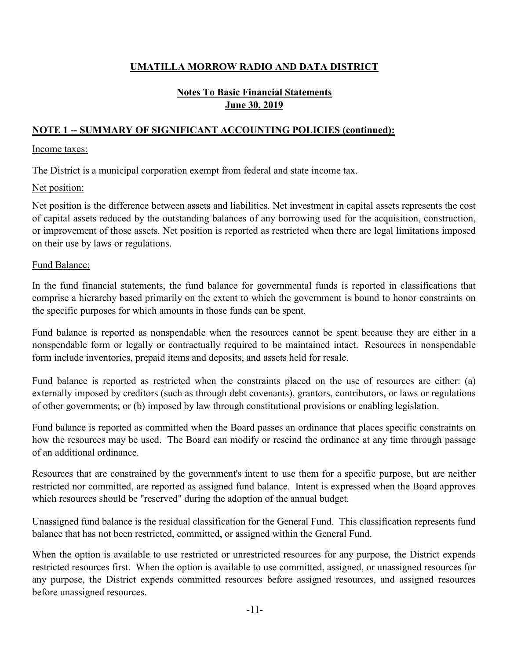## **June 30, 2019 Notes To Basic Financial Statements**

## **NOTE 1 -- SUMMARY OF SIGNIFICANT ACCOUNTING POLICIES (continued):**

#### Income taxes:

The District is a municipal corporation exempt from federal and state income tax.

#### Net position:

Net position is the difference between assets and liabilities. Net investment in capital assets represents the cost of capital assets reduced by the outstanding balances of any borrowing used for the acquisition, construction, or improvement of those assets. Net position is reported as restricted when there are legal limitations imposed on their use by laws or regulations.

#### Fund Balance:

In the fund financial statements, the fund balance for governmental funds is reported in classifications that comprise a hierarchy based primarily on the extent to which the government is bound to honor constraints on the specific purposes for which amounts in those funds can be spent.

Fund balance is reported as nonspendable when the resources cannot be spent because they are either in a nonspendable form or legally or contractually required to be maintained intact. Resources in nonspendable form include inventories, prepaid items and deposits, and assets held for resale.

Fund balance is reported as restricted when the constraints placed on the use of resources are either: (a) externally imposed by creditors (such as through debt covenants), grantors, contributors, or laws or regulations of other governments; or (b) imposed by law through constitutional provisions or enabling legislation.

Fund balance is reported as committed when the Board passes an ordinance that places specific constraints on how the resources may be used. The Board can modify or rescind the ordinance at any time through passage of an additional ordinance.

Resources that are constrained by the government's intent to use them for a specific purpose, but are neither restricted nor committed, are reported as assigned fund balance. Intent is expressed when the Board approves which resources should be "reserved" during the adoption of the annual budget.

Unassigned fund balance is the residual classification for the General Fund. This classification represents fund balance that has not been restricted, committed, or assigned within the General Fund.

When the option is available to use restricted or unrestricted resources for any purpose, the District expends restricted resources first. When the option is available to use committed, assigned, or unassigned resources for any purpose, the District expends committed resources before assigned resources, and assigned resources before unassigned resources.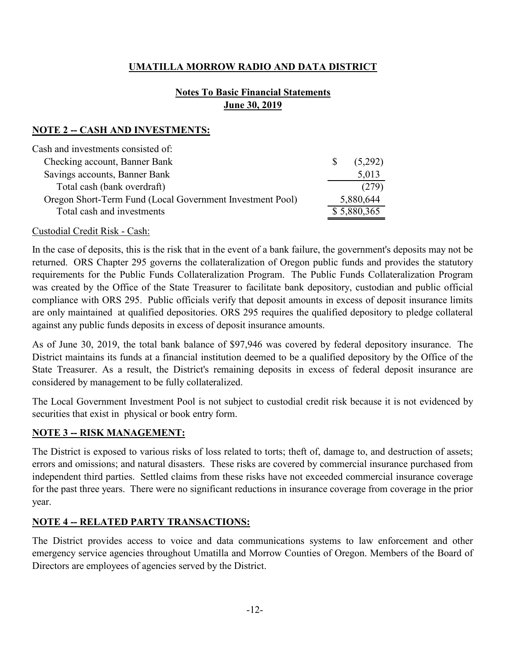## **Notes To Basic Financial Statements June 30, 2019**

## **NOTE 2 -- CASH AND INVESTMENTS:**

| <sup>S</sup> | (5,292)     |
|--------------|-------------|
|              | 5,013       |
|              | (279)       |
|              | 5,880,644   |
|              | \$5,880,365 |
|              |             |

#### Custodial Credit Risk - Cash:

In the case of deposits, this is the risk that in the event of a bank failure, the government's deposits may not be returned. ORS Chapter 295 governs the collateralization of Oregon public funds and provides the statutory requirements for the Public Funds Collateralization Program. The Public Funds Collateralization Program was created by the Office of the State Treasurer to facilitate bank depository, custodian and public official compliance with ORS 295. Public officials verify that deposit amounts in excess of deposit insurance limits are only maintained at qualified depositories. ORS 295 requires the qualified depository to pledge collateral against any public funds deposits in excess of deposit insurance amounts.

As of June 30, 2019, the total bank balance of \$97,946 was covered by federal depository insurance. The District maintains its funds at a financial institution deemed to be a qualified depository by the Office of the State Treasurer. As a result, the District's remaining deposits in excess of federal deposit insurance are considered by management to be fully collateralized.

The Local Government Investment Pool is not subject to custodial credit risk because it is not evidenced by securities that exist in physical or book entry form.

#### **NOTE 3 -- RISK MANAGEMENT:**

The District is exposed to various risks of loss related to torts; theft of, damage to, and destruction of assets; errors and omissions; and natural disasters. These risks are covered by commercial insurance purchased from independent third parties. Settled claims from these risks have not exceeded commercial insurance coverage for the past three years. There were no significant reductions in insurance coverage from coverage in the prior year.

#### **NOTE 4 -- RELATED PARTY TRANSACTIONS:**

The District provides access to voice and data communications systems to law enforcement and other emergency service agencies throughout Umatilla and Morrow Counties of Oregon. Members of the Board of Directors are employees of agencies served by the District.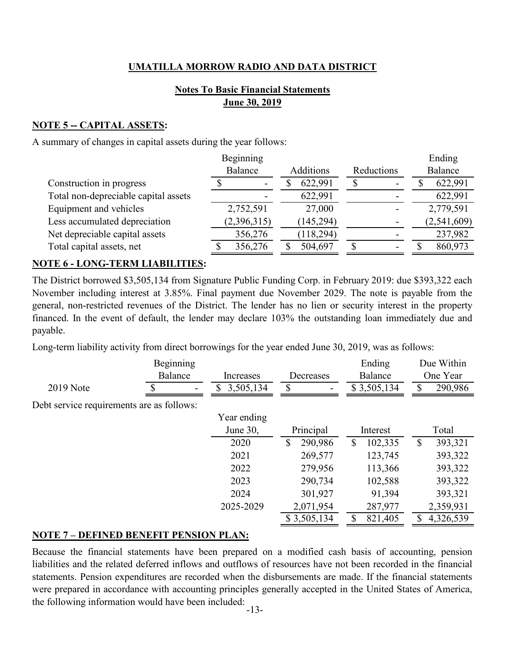## **Notes To Basic Financial Statements June 30, 2019**

## **NOTE 5 -- CAPITAL ASSETS:**

A summary of changes in capital assets during the year follows:

|                                      | Beginning                |    |            |            | Ending      |
|--------------------------------------|--------------------------|----|------------|------------|-------------|
|                                      | Balance                  |    | Additions  | Reductions | Balance     |
| Construction in progress             | $\overline{\phantom{a}}$ | ۰D | 622,991    | -          | 622,991     |
| Total non-depreciable capital assets |                          |    | 622,991    |            | 622,991     |
| Equipment and vehicles               | 2,752,591                |    | 27,000     |            | 2,779,591   |
| Less accumulated depreciation        | (2,396,315)              |    | 145,294    |            | (2,541,609) |
| Net depreciable capital assets       | 356,276                  |    | (118, 294) |            | 237,982     |
| Total capital assets, net            | 356,276                  |    | 504,697    |            | 860,973     |
|                                      |                          |    |            |            |             |

#### **NOTE 6 - LONG-TERM LIABILITIES:**

The District borrowed \$3,505,134 from Signature Public Funding Corp. in February 2019: due \$393,322 each November including interest at 3.85%. Final payment due November 2029. The note is payable from the general, non-restricted revenues of the District. The lender has no lien or security interest in the property financed. In the event of default, the lender may declare 103% the outstanding loan immediately due and payable.

Long-term liability activity from direct borrowings for the year ended June 30, 2019, was as follows:

|                                           | Beginning |                 |                               | Ending                  | Due Within     |
|-------------------------------------------|-----------|-----------------|-------------------------------|-------------------------|----------------|
|                                           | Balance   | Increases       | Decreases                     | Balance                 | One Year       |
| <b>2019</b> Note                          |           | 3,505,134<br>\$ | S<br>$\overline{\phantom{a}}$ | \$3,505,134             | 290,986<br>S   |
| Debt service requirements are as follows: |           |                 |                               |                         |                |
|                                           |           | Year ending     |                               |                         |                |
|                                           |           | June 30,        | Principal                     | Interest                | Total          |
|                                           |           | 2020            | \$<br>290,986                 | $\mathbb{S}$<br>102,335 | 393,321<br>\$  |
|                                           |           | 2021            | 269,577                       | 123,745                 | 393,322        |
|                                           |           | 2022            | 279,956                       | 113,366                 | 393,322        |
|                                           |           | 2023            | 290,734                       | 102,588                 | 393,322        |
|                                           |           | 2024            | 301,927                       | 91,394                  | 393,321        |
|                                           |           | 2025-2029       | 2,071,954                     | 287,977                 | 2,359,931      |
|                                           |           |                 | \$3,505,134                   | 821,405<br>\$           | 4,326,539<br>S |

#### **NOTE 7 – DEFINED BENEFIT PENSION PLAN:**

Because the financial statements have been prepared on a modified cash basis of accounting, pension liabilities and the related deferred inflows and outflows of resources have not been recorded in the financial statements. Pension expenditures are recorded when the disbursements are made. If the financial statements were prepared in accordance with accounting principles generally accepted in the United States of America, the following information would have been included: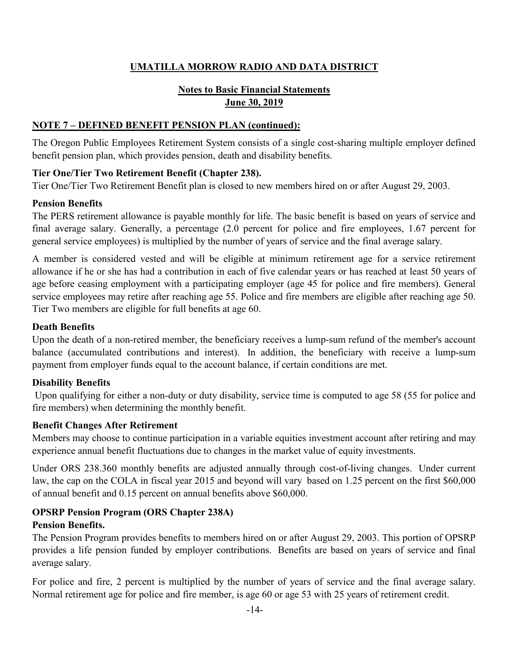## **Notes to Basic Financial Statements June 30, 2019**

#### **NOTE 7 – DEFINED BENEFIT PENSION PLAN (continued):**

The Oregon Public Employees Retirement System consists of a single cost-sharing multiple employer defined benefit pension plan, which provides pension, death and disability benefits.

#### **Tier One/Tier Two Retirement Benefit (Chapter 238).**

Tier One/Tier Two Retirement Benefit plan is closed to new members hired on or after August 29, 2003.

#### **Pension Benefits**

The PERS retirement allowance is payable monthly for life. The basic benefit is based on years of service and final average salary. Generally, a percentage (2.0 percent for police and fire employees, 1.67 percent for general service employees) is multiplied by the number of years of service and the final average salary.

A member is considered vested and will be eligible at minimum retirement age for a service retirement allowance if he or she has had a contribution in each of five calendar years or has reached at least 50 years of age before ceasing employment with a participating employer (age 45 for police and fire members). General service employees may retire after reaching age 55. Police and fire members are eligible after reaching age 50. Tier Two members are eligible for full benefits at age 60.

#### **Death Benefits**

Upon the death of a non-retired member, the beneficiary receives a lump-sum refund of the member's account balance (accumulated contributions and interest). In addition, the beneficiary with receive a lump-sum payment from employer funds equal to the account balance, if certain conditions are met.

#### **Disability Benefits**

Upon qualifying for either a non-duty or duty disability, service time is computed to age 58 (55 for police and fire members) when determining the monthly benefit.

#### **Benefit Changes After Retirement**

Members may choose to continue participation in a variable equities investment account after retiring and may experience annual benefit fluctuations due to changes in the market value of equity investments.

Under ORS 238.360 monthly benefits are adjusted annually through cost-of-living changes. Under current law, the cap on the COLA in fiscal year 2015 and beyond will vary based on 1.25 percent on the first \$60,000 of annual benefit and 0.15 percent on annual benefits above \$60,000.

#### **OPSRP Pension Program (ORS Chapter 238A)**

#### **Pension Benefits.**

The Pension Program provides benefits to members hired on or after August 29, 2003. This portion of OPSRP provides a life pension funded by employer contributions. Benefits are based on years of service and final average salary.

For police and fire, 2 percent is multiplied by the number of years of service and the final average salary. Normal retirement age for police and fire member, is age 60 or age 53 with 25 years of retirement credit.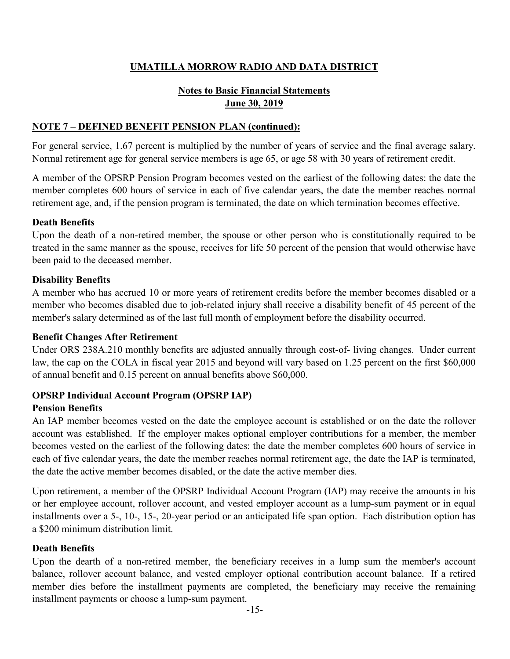## **Notes to Basic Financial Statements June 30, 2019**

#### **NOTE 7 – DEFINED BENEFIT PENSION PLAN (continued):**

For general service, 1.67 percent is multiplied by the number of years of service and the final average salary. Normal retirement age for general service members is age 65, or age 58 with 30 years of retirement credit.

A member of the OPSRP Pension Program becomes vested on the earliest of the following dates: the date the member completes 600 hours of service in each of five calendar years, the date the member reaches normal retirement age, and, if the pension program is terminated, the date on which termination becomes effective.

#### **Death Benefits**

Upon the death of a non-retired member, the spouse or other person who is constitutionally required to be treated in the same manner as the spouse, receives for life 50 percent of the pension that would otherwise have been paid to the deceased member.

#### **Disability Benefits**

A member who has accrued 10 or more years of retirement credits before the member becomes disabled or a member who becomes disabled due to job-related injury shall receive a disability benefit of 45 percent of the member's salary determined as of the last full month of employment before the disability occurred.

#### **Benefit Changes After Retirement**

Under ORS 238A.210 monthly benefits are adjusted annually through cost-of- living changes. Under current law, the cap on the COLA in fiscal year 2015 and beyond will vary based on 1.25 percent on the first \$60,000 of annual benefit and 0.15 percent on annual benefits above \$60,000.

## **OPSRP Individual Account Program (OPSRP IAP)**

#### **Pension Benefits**

An IAP member becomes vested on the date the employee account is established or on the date the rollover account was established. If the employer makes optional employer contributions for a member, the member becomes vested on the earliest of the following dates: the date the member completes 600 hours of service in each of five calendar years, the date the member reaches normal retirement age, the date the IAP is terminated, the date the active member becomes disabled, or the date the active member dies.

Upon retirement, a member of the OPSRP Individual Account Program (IAP) may receive the amounts in his or her employee account, rollover account, and vested employer account as a lump-sum payment or in equal installments over a 5-, 10-, 15-, 20-year period or an anticipated life span option. Each distribution option has a \$200 minimum distribution limit.

#### **Death Benefits**

Upon the dearth of a non-retired member, the beneficiary receives in a lump sum the member's account balance, rollover account balance, and vested employer optional contribution account balance. If a retired member dies before the installment payments are completed, the beneficiary may receive the remaining installment payments or choose a lump-sum payment.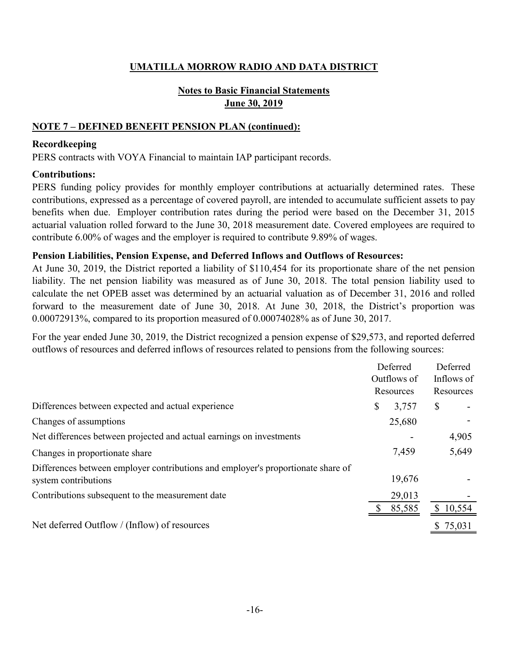## **Notes to Basic Financial Statements June 30, 2019**

#### **NOTE 7 – DEFINED BENEFIT PENSION PLAN (continued):**

#### **Recordkeeping**

PERS contracts with VOYA Financial to maintain IAP participant records.

#### **Contributions:**

PERS funding policy provides for monthly employer contributions at actuarially determined rates. These contributions, expressed as a percentage of covered payroll, are intended to accumulate sufficient assets to pay benefits when due. Employer contribution rates during the period were based on the December 31, 2015 actuarial valuation rolled forward to the June 30, 2018 measurement date. Covered employees are required to contribute 6.00% of wages and the employer is required to contribute 9.89% of wages.

#### **Pension Liabilities, Pension Expense, and Deferred Inflows and Outflows of Resources:**

At June 30, 2019, the District reported a liability of \$110,454 for its proportionate share of the net pension liability. The net pension liability was measured as of June 30, 2018. The total pension liability used to calculate the net OPEB asset was determined by an actuarial valuation as of December 31, 2016 and rolled forward to the measurement date of June 30, 2018. At June 30, 2018, the District's proportion was 0.00072913%, compared to its proportion measured of 0.00074028% as of June 30, 2017.

For the year ended June 30, 2019, the District recognized a pension expense of \$29,573, and reported deferred outflows of resources and deferred inflows of resources related to pensions from the following sources:

|                                                                                  | Deferred    | Deferred   |
|----------------------------------------------------------------------------------|-------------|------------|
|                                                                                  | Outflows of | Inflows of |
|                                                                                  | Resources   | Resources  |
| Differences between expected and actual experience                               | \$<br>3,757 | \$         |
| Changes of assumptions                                                           | 25,680      |            |
| Net differences between projected and actual earnings on investments             |             | 4,905      |
| Changes in proportionate share                                                   | 7,459       | 5,649      |
| Differences between employer contributions and employer's proportionate share of |             |            |
| system contributions                                                             | 19,676      |            |
| Contributions subsequent to the measurement date                                 | 29,013      |            |
|                                                                                  | 85,585      | 10,554     |
| Net deferred Outflow / (Inflow) of resources                                     |             | \$75,031   |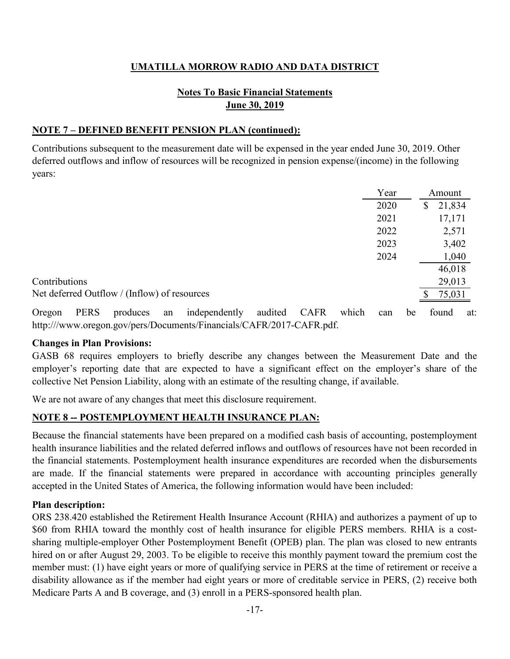## **Notes To Basic Financial Statements June 30, 2019**

#### **NOTE 7 – DEFINED BENEFIT PENSION PLAN (continued):**

Contributions subsequent to the measurement date will be expensed in the year ended June 30, 2019. Other deferred outflows and inflow of resources will be recognized in pension expense/(income) in the following years:

|                                              | Year | Amount       |
|----------------------------------------------|------|--------------|
|                                              | 2020 | 21,834<br>\$ |
|                                              | 2021 | 17,171       |
|                                              | 2022 | 2,571        |
|                                              | 2023 | 3,402        |
|                                              | 2024 | 1,040        |
|                                              |      | 46,018       |
| Contributions                                |      | 29,013       |
| Net deferred Outflow / (Inflow) of resources |      | 75,031       |

Oregon PERS produces an independently audited CAFR which can be found at: http:///www.oregon.gov/pers/Documents/Financials/CAFR/2017-CAFR.pdf.

#### **Changes in Plan Provisions:**

GASB 68 requires employers to briefly describe any changes between the Measurement Date and the employer's reporting date that are expected to have a significant effect on the employer's share of the collective Net Pension Liability, along with an estimate of the resulting change, if available.

We are not aware of any changes that meet this disclosure requirement.

#### **NOTE 8 -- POSTEMPLOYMENT HEALTH INSURANCE PLAN:**

Because the financial statements have been prepared on a modified cash basis of accounting, postemployment health insurance liabilities and the related deferred inflows and outflows of resources have not been recorded in the financial statements. Postemployment health insurance expenditures are recorded when the disbursements are made. If the financial statements were prepared in accordance with accounting principles generally accepted in the United States of America, the following information would have been included:

#### **Plan description:**

ORS 238.420 established the Retirement Health Insurance Account (RHIA) and authorizes a payment of up to \$60 from RHIA toward the monthly cost of health insurance for eligible PERS members. RHIA is a costsharing multiple-employer Other Postemployment Benefit (OPEB) plan. The plan was closed to new entrants hired on or after August 29, 2003. To be eligible to receive this monthly payment toward the premium cost the member must: (1) have eight years or more of qualifying service in PERS at the time of retirement or receive a disability allowance as if the member had eight years or more of creditable service in PERS, (2) receive both Medicare Parts A and B coverage, and (3) enroll in a PERS-sponsored health plan.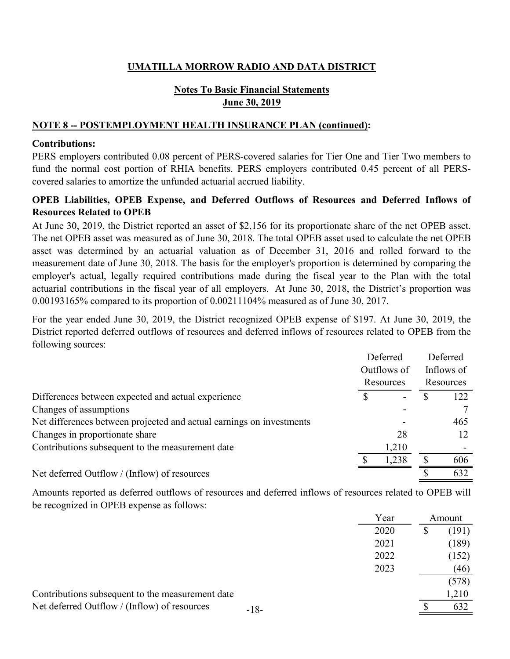## **Notes To Basic Financial Statements June 30, 2019**

#### **NOTE 8 -- POSTEMPLOYMENT HEALTH INSURANCE PLAN (continued):**

#### **Contributions:**

PERS employers contributed 0.08 percent of PERS-covered salaries for Tier One and Tier Two members to fund the normal cost portion of RHIA benefits. PERS employers contributed 0.45 percent of all PERScovered salaries to amortize the unfunded actuarial accrued liability.

#### **OPEB Liabilities, OPEB Expense, and Deferred Outflows of Resources and Deferred Inflows of Resources Related to OPEB**

At June 30, 2019, the District reported an asset of \$2,156 for its proportionate share of the net OPEB asset. The net OPEB asset was measured as of June 30, 2018. The total OPEB asset used to calculate the net OPEB asset was determined by an actuarial valuation as of December 31, 2016 and rolled forward to the measurement date of June 30, 2018. The basis for the employer's proportion is determined by comparing the employer's actual, legally required contributions made during the fiscal year to the Plan with the total actuarial contributions in the fiscal year of all employers. At June 30, 2018, the District's proportion was 0.00193165% compared to its proportion of 0.00211104% measured as of June 30, 2017.

For the year ended June 30, 2019, the District recognized OPEB expense of \$197. At June 30, 2019, the District reported deferred outflows of resources and deferred inflows of resources related to OPEB from the following sources:

|                                                                      |   | Deferred    | Deferred   |
|----------------------------------------------------------------------|---|-------------|------------|
|                                                                      |   | Outflows of | Inflows of |
|                                                                      |   | Resources   | Resources  |
| Differences between expected and actual experience                   | S |             | 122        |
| Changes of assumptions                                               |   |             |            |
| Net differences between projected and actual earnings on investments |   |             | 465        |
| Changes in proportionate share                                       |   | 28          |            |
| Contributions subsequent to the measurement date                     |   | 1,210       |            |
|                                                                      |   | 1,238       | 606        |
| Net deferred Outflow / (Inflow) of resources                         |   |             | 632        |

Amounts reported as deferred outflows of resources and deferred inflows of resources related to OPEB will be recognized in OPEB expense as follows:

|                                                  |        | Year | Amount      |
|--------------------------------------------------|--------|------|-------------|
|                                                  |        | 2020 | \$<br>(191) |
|                                                  |        | 2021 | (189)       |
|                                                  |        | 2022 | (152)       |
|                                                  |        | 2023 | (46)        |
|                                                  |        |      | (578)       |
| Contributions subsequent to the measurement date |        |      | 1,210       |
| Net deferred Outflow / (Inflow) of resources     | $-18-$ |      | 632         |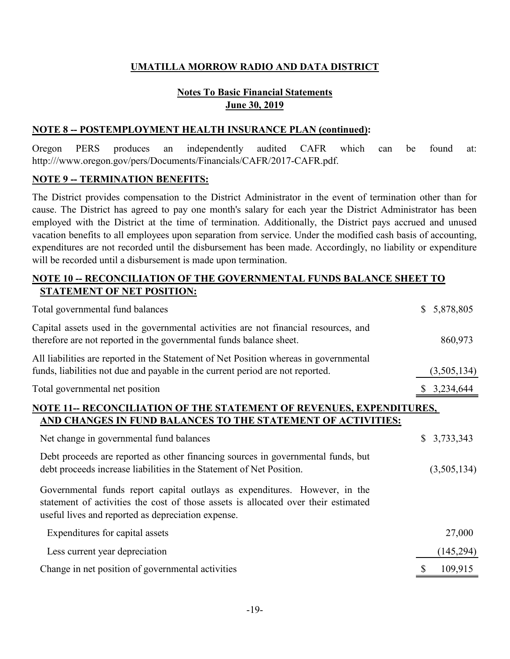## **June 30, 2019 Notes To Basic Financial Statements**

#### **NOTE 8 -- POSTEMPLOYMENT HEALTH INSURANCE PLAN (continued):**

Oregon PERS produces an independently audited CAFR which can be found at: http:///www.oregon.gov/pers/Documents/Financials/CAFR/2017-CAFR.pdf.

#### **NOTE 9 -- TERMINATION BENEFITS:**

The District provides compensation to the District Administrator in the event of termination other than for cause. The District has agreed to pay one month's salary for each year the District Administrator has been employed with the District at the time of termination. Additionally, the District pays accrued and unused vacation benefits to all employees upon separation from service. Under the modified cash basis of accounting, expenditures are not recorded until the disbursement has been made. Accordingly, no liability or expenditure will be recorded until a disbursement is made upon termination.

#### **NOTE 10 -- RECONCILIATION OF THE GOVERNMENTAL FUNDS BALANCE SHEET TO STATEMENT OF NET POSITION:**

| Total governmental fund balances                                                                                                                                                                                       | $\mathbb{S}$ | 5,878,805   |  |
|------------------------------------------------------------------------------------------------------------------------------------------------------------------------------------------------------------------------|--------------|-------------|--|
| Capital assets used in the governmental activities are not financial resources, and<br>therefore are not reported in the governmental funds balance sheet.                                                             |              | 860,973     |  |
| All liabilities are reported in the Statement of Net Position whereas in governmental<br>funds, liabilities not due and payable in the current period are not reported.                                                |              | (3,505,134) |  |
| Total governmental net position                                                                                                                                                                                        |              | \$3,234,644 |  |
| NOTE 11-- RECONCILIATION OF THE STATEMENT OF REVENUES, EXPENDITURES,<br>AND CHANGES IN FUND BALANCES TO THE STATEMENT OF ACTIVITIES:                                                                                   |              |             |  |
| Net change in governmental fund balances                                                                                                                                                                               | $\mathbb{S}$ | 3,733,343   |  |
| Debt proceeds are reported as other financing sources in governmental funds, but<br>debt proceeds increase liabilities in the Statement of Net Position.                                                               |              | (3,505,134) |  |
| Governmental funds report capital outlays as expenditures. However, in the<br>statement of activities the cost of those assets is allocated over their estimated<br>useful lives and reported as depreciation expense. |              |             |  |
| Expenditures for capital assets                                                                                                                                                                                        |              | 27,000      |  |
| Less current year depreciation                                                                                                                                                                                         |              | (145,294)   |  |
| Change in net position of governmental activities                                                                                                                                                                      |              | 109,915     |  |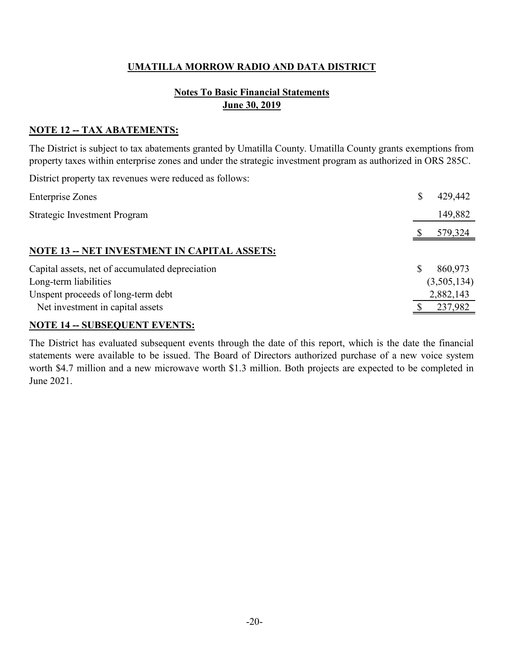## **Notes To Basic Financial Statements June 30, 2019**

#### **NOTE 12 -- TAX ABATEMENTS:**

The District is subject to tax abatements granted by Umatilla County. Umatilla County grants exemptions from property taxes within enterprise zones and under the strategic investment program as authorized in ORS 285C.

District property tax revenues were reduced as follows:

| <b>Enterprise Zones</b>                                                                                 | \$<br>429,442 |
|---------------------------------------------------------------------------------------------------------|---------------|
| <b>Strategic Investment Program</b>                                                                     | 149,882       |
|                                                                                                         | 579,324       |
| <b>NOTE 13 -- NET INVESTMENT IN CAPITAL ASSETS:</b>                                                     |               |
| Capital assets, net of accumulated depreciation                                                         | 860,973<br>S  |
| Long-term liabilities                                                                                   | (3,505,134)   |
| Unspent proceeds of long-term debt                                                                      | 2,882,143     |
| Net investment in capital assets                                                                        | 237,982       |
| $\mathbf{M} \cap \mathbf{M}$ and $\mathbf{M} \cap \mathbf{M}$ is the state $\mathbf{M} \cap \mathbf{M}$ |               |

#### **NOTE 14 -- SUBSEQUENT EVENTS:**

The District has evaluated subsequent events through the date of this report, which is the date the financial statements were available to be issued. The Board of Directors authorized purchase of a new voice system worth \$4.7 million and a new microwave worth \$1.3 million. Both projects are expected to be completed in June 2021.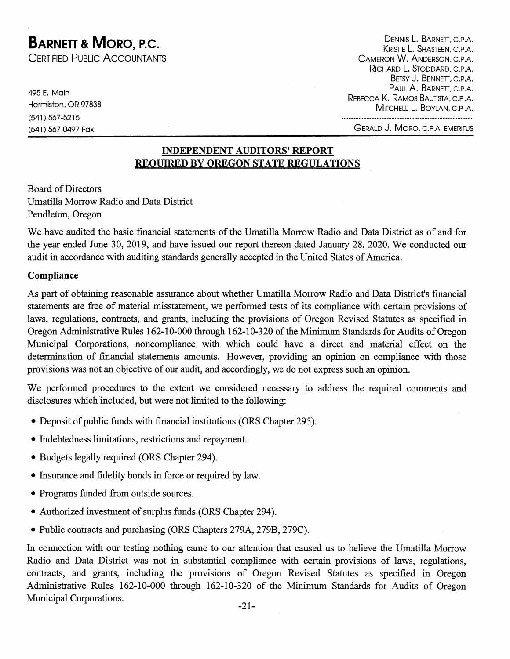# **BARNETT & MORO. P.C.**

CERTIFIED PUBLIC ACCOUNTANTS

495 E. Main Hermiston, OR 97838 (541) 567-5215 (541) 567-0497 Fax

DENNIS L. BARNETT, C.P.A. KRISTIE L. SHASTEEN, C.P.A. CAMERON W. ANDERSON, C.P.A. RICHARD L. STODDARD, C.P.A. BETSY J. BENNETT, C.P.A. PAUL A. BARNETT, C.P.A. REBECCA K. RAMOS BAUTISTA, C.P.A. MITCHELL L. BOYLAN, C.P.A.

**GERALD J. MORO, C.P.A. EMERITUS** 

.....................................

#### **INDEPENDENT AUDITORS' REPORT REOUIRED BY OREGON STATE REGULATIONS**

**Board of Directors** Umatilla Morrow Radio and Data District Pendleton, Oregon

We have audited the basic financial statements of the Umatilla Morrow Radio and Data District as of and for the year ended June 30, 2019, and have issued our report thereon dated January 28, 2020. We conducted our audit in accordance with auditing standards generally accepted in the United States of America.

#### Compliance

As part of obtaining reasonable assurance about whether Umatilla Morrow Radio and Data District's financial statements are free of material misstatement, we performed tests of its compliance with certain provisions of laws, regulations, contracts, and grants, including the provisions of Oregon Revised Statutes as specified in Oregon Administrative Rules 162-10-000 through 162-10-320 of the Minimum Standards for Audits of Oregon Municipal Corporations, noncompliance with which could have a direct and material effect on the determination of financial statements amounts. However, providing an opinion on compliance with those provisions was not an objective of our audit, and accordingly, we do not express such an opinion.

We performed procedures to the extent we considered necessary to address the required comments and disclosures which included, but were not limited to the following:

- Deposit of public funds with financial institutions (ORS Chapter 295).
- Indebtedness limitations, restrictions and repayment.
- Budgets legally required (ORS Chapter 294).
- Insurance and fidelity bonds in force or required by law.
- Programs funded from outside sources.
- Authorized investment of surplus funds (ORS Chapter 294).
- Public contracts and purchasing (ORS Chapters 279A, 279B, 279C).

In connection with our testing nothing came to our attention that caused us to believe the Umatilla Morrow Radio and Data District was not in substantial compliance with certain provisions of laws, regulations, contracts, and grants, including the provisions of Oregon Revised Statutes as specified in Oregon Administrative Rules 162-10-000 through 162-10-320 of the Minimum Standards for Audits of Oregon Municipal Corporations.